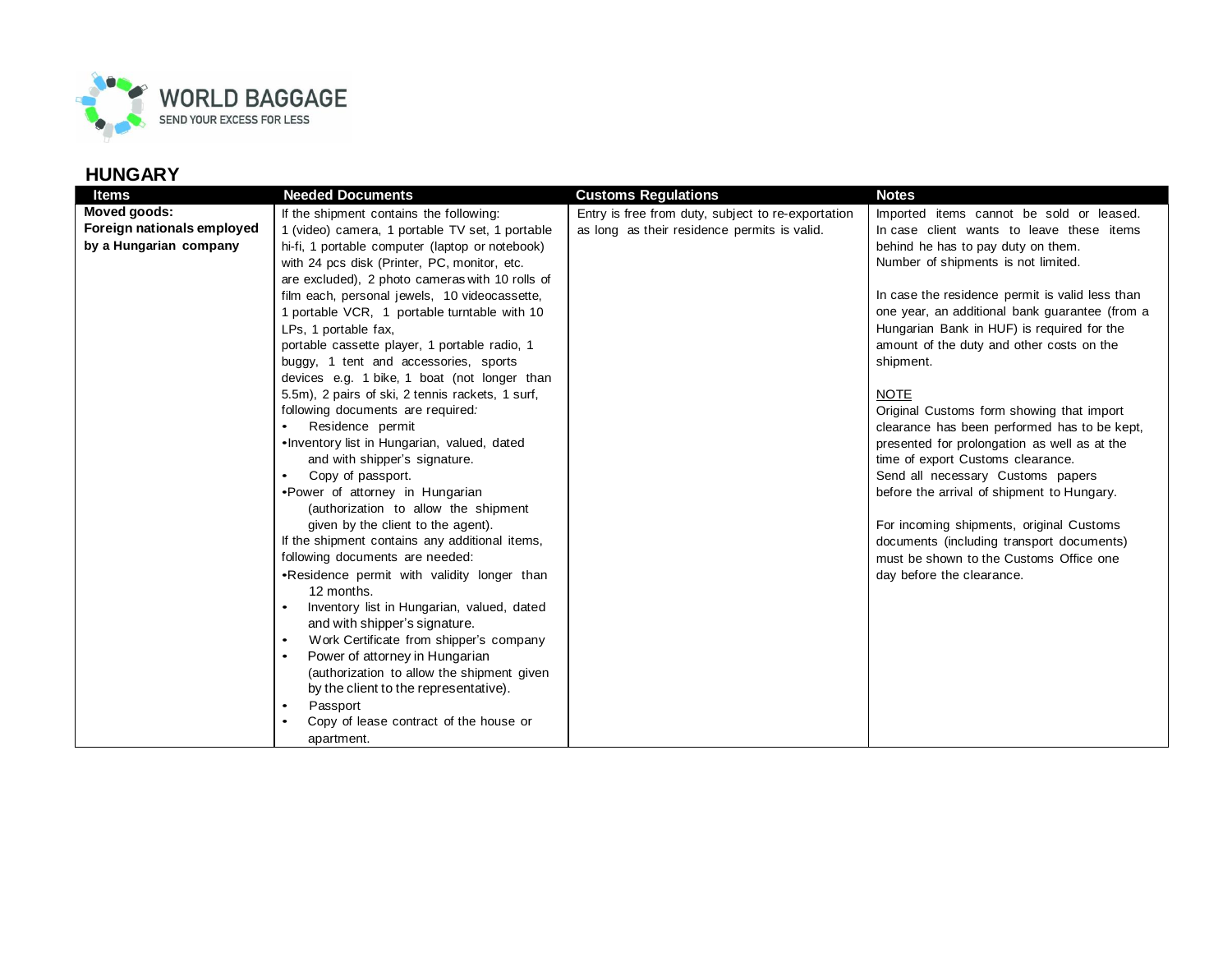

| <b>Items</b>               | <b>Needed Documents</b>                          | <b>Customs Requlations</b>                         | <b>Notes</b>                                    |
|----------------------------|--------------------------------------------------|----------------------------------------------------|-------------------------------------------------|
| Moved goods:               | If the shipment contains the following:          | Entry is free from duty, subject to re-exportation | Imported items cannot be sold or leased.        |
| Foreign nationals employed | 1 (video) camera, 1 portable TV set, 1 portable  | as long as their residence permits is valid.       | In case client wants to leave these items       |
| by a Hungarian company     | hi-fi, 1 portable computer (laptop or notebook)  |                                                    | behind he has to pay duty on them.              |
|                            | with 24 pcs disk (Printer, PC, monitor, etc.     |                                                    | Number of shipments is not limited.             |
|                            | are excluded), 2 photo cameras with 10 rolls of  |                                                    |                                                 |
|                            | film each, personal jewels, 10 videocassette,    |                                                    | In case the residence permit is valid less than |
|                            | 1 portable VCR, 1 portable turntable with 10     |                                                    | one year, an additional bank guarantee (from a  |
|                            | LPs, 1 portable fax,                             |                                                    | Hungarian Bank in HUF) is required for the      |
|                            | portable cassette player, 1 portable radio, 1    |                                                    | amount of the duty and other costs on the       |
|                            | buggy, 1 tent and accessories, sports            |                                                    | shipment.                                       |
|                            | devices e.g. 1 bike, 1 boat (not longer than     |                                                    |                                                 |
|                            | 5.5m), 2 pairs of ski, 2 tennis rackets, 1 surf, |                                                    | <b>NOTE</b>                                     |
|                            | following documents are required.                |                                                    | Original Customs form showing that import       |
|                            | Residence permit                                 |                                                    | clearance has been performed has to be kept,    |
|                            | .Inventory list in Hungarian, valued, dated      |                                                    | presented for prolongation as well as at the    |
|                            | and with shipper's signature.                    |                                                    | time of export Customs clearance.               |
|                            | Copy of passport.                                |                                                    | Send all necessary Customs papers               |
|                            | •Power of attorney in Hungarian                  |                                                    | before the arrival of shipment to Hungary.      |
|                            | (authorization to allow the shipment             |                                                    |                                                 |
|                            | given by the client to the agent).               |                                                    | For incoming shipments, original Customs        |
|                            | If the shipment contains any additional items,   |                                                    | documents (including transport documents)       |
|                            | following documents are needed:                  |                                                    | must be shown to the Customs Office one         |
|                            | .Residence permit with validity longer than      |                                                    | day before the clearance.                       |
|                            | 12 months.                                       |                                                    |                                                 |
|                            | Inventory list in Hungarian, valued, dated       |                                                    |                                                 |
|                            | and with shipper's signature.                    |                                                    |                                                 |
|                            | Work Certificate from shipper's company          |                                                    |                                                 |
|                            | Power of attorney in Hungarian<br>$\bullet$      |                                                    |                                                 |
|                            | (authorization to allow the shipment given       |                                                    |                                                 |
|                            | by the client to the representative).            |                                                    |                                                 |
|                            | Passport<br>٠                                    |                                                    |                                                 |
|                            | Copy of lease contract of the house or           |                                                    |                                                 |
|                            | apartment.                                       |                                                    |                                                 |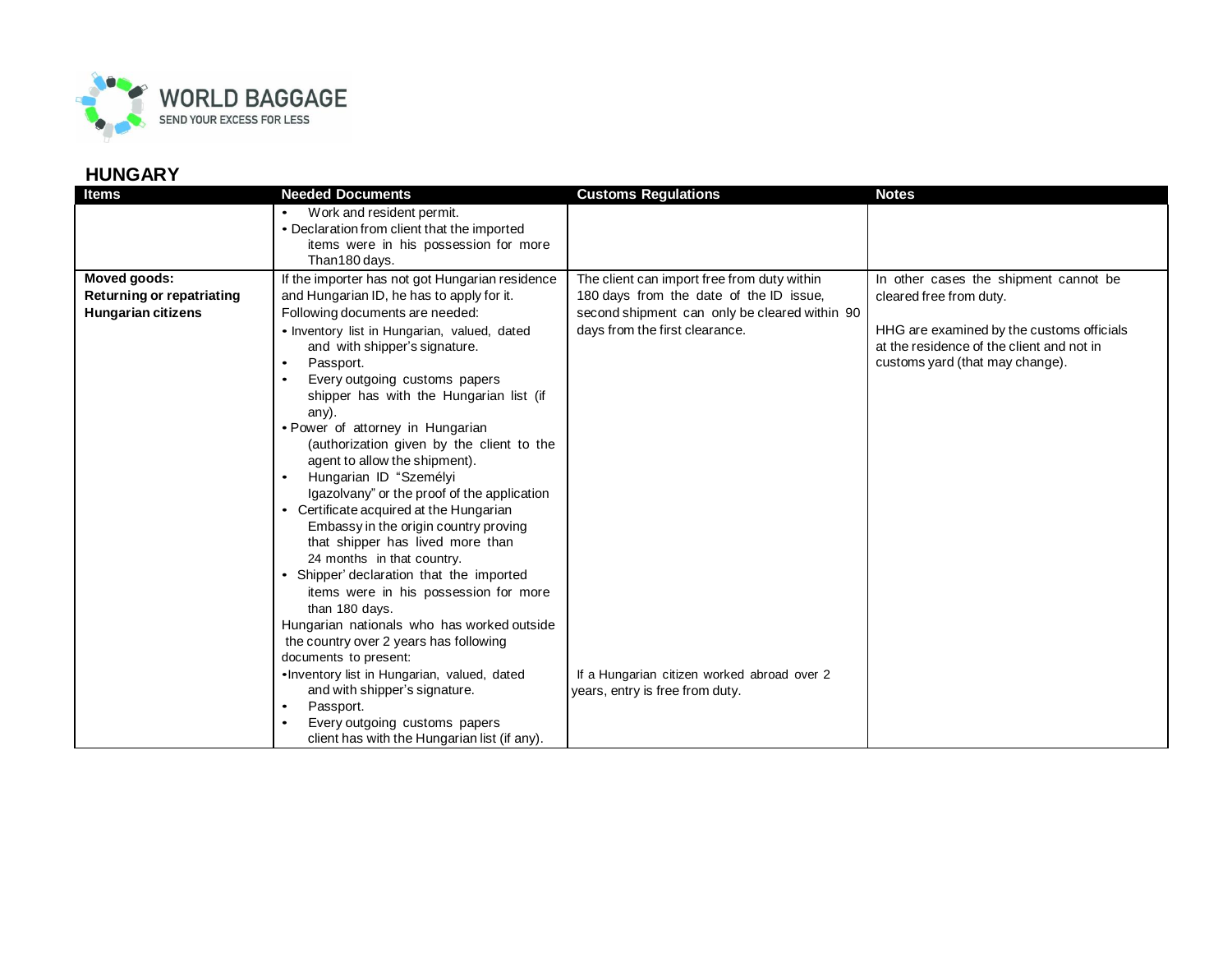

| <b>Items</b>              | <b>Needed Documents</b>                                                                                                                                                                                                                                                                                                                                                                                                                                                                                                                                                                                                                                                                                                                                 | <b>Customs Regulations</b>                    | <b>Notes</b>                                                                                                              |
|---------------------------|---------------------------------------------------------------------------------------------------------------------------------------------------------------------------------------------------------------------------------------------------------------------------------------------------------------------------------------------------------------------------------------------------------------------------------------------------------------------------------------------------------------------------------------------------------------------------------------------------------------------------------------------------------------------------------------------------------------------------------------------------------|-----------------------------------------------|---------------------------------------------------------------------------------------------------------------------------|
|                           | Work and resident permit.                                                                                                                                                                                                                                                                                                                                                                                                                                                                                                                                                                                                                                                                                                                               |                                               |                                                                                                                           |
|                           | • Declaration from client that the imported                                                                                                                                                                                                                                                                                                                                                                                                                                                                                                                                                                                                                                                                                                             |                                               |                                                                                                                           |
|                           | items were in his possession for more                                                                                                                                                                                                                                                                                                                                                                                                                                                                                                                                                                                                                                                                                                                   |                                               |                                                                                                                           |
|                           | Than180 days.                                                                                                                                                                                                                                                                                                                                                                                                                                                                                                                                                                                                                                                                                                                                           |                                               |                                                                                                                           |
| <b>Moved goods:</b>       | If the importer has not got Hungarian residence                                                                                                                                                                                                                                                                                                                                                                                                                                                                                                                                                                                                                                                                                                         | The client can import free from duty within   | In other cases the shipment cannot be                                                                                     |
| Returning or repatriating | and Hungarian ID, he has to apply for it.                                                                                                                                                                                                                                                                                                                                                                                                                                                                                                                                                                                                                                                                                                               | 180 days from the date of the ID issue,       | cleared free from duty.                                                                                                   |
| <b>Hungarian citizens</b> | Following documents are needed:                                                                                                                                                                                                                                                                                                                                                                                                                                                                                                                                                                                                                                                                                                                         | second shipment can only be cleared within 90 |                                                                                                                           |
|                           | • Inventory list in Hungarian, valued, dated<br>and with shipper's signature.<br>Passport.<br>$\bullet$<br>Every outgoing customs papers<br>shipper has with the Hungarian list (if<br>any).<br>• Power of attorney in Hungarian<br>(authorization given by the client to the<br>agent to allow the shipment).<br>Hungarian ID "Személyi<br>$\bullet$<br>Igazolvany" or the proof of the application<br>• Certificate acquired at the Hungarian<br>Embassy in the origin country proving<br>that shipper has lived more than<br>24 months in that country.<br>Shipper' declaration that the imported<br>items were in his possession for more<br>than 180 days.<br>Hungarian nationals who has worked outside<br>the country over 2 years has following | days from the first clearance.                | HHG are examined by the customs officials<br>at the residence of the client and not in<br>customs yard (that may change). |
|                           | documents to present:                                                                                                                                                                                                                                                                                                                                                                                                                                                                                                                                                                                                                                                                                                                                   |                                               |                                                                                                                           |
|                           | . Inventory list in Hungarian, valued, dated                                                                                                                                                                                                                                                                                                                                                                                                                                                                                                                                                                                                                                                                                                            | If a Hungarian citizen worked abroad over 2   |                                                                                                                           |
|                           | and with shipper's signature.                                                                                                                                                                                                                                                                                                                                                                                                                                                                                                                                                                                                                                                                                                                           | years, entry is free from duty.               |                                                                                                                           |
|                           | Passport.                                                                                                                                                                                                                                                                                                                                                                                                                                                                                                                                                                                                                                                                                                                                               |                                               |                                                                                                                           |
|                           | Every outgoing customs papers<br>client has with the Hungarian list (if any).                                                                                                                                                                                                                                                                                                                                                                                                                                                                                                                                                                                                                                                                           |                                               |                                                                                                                           |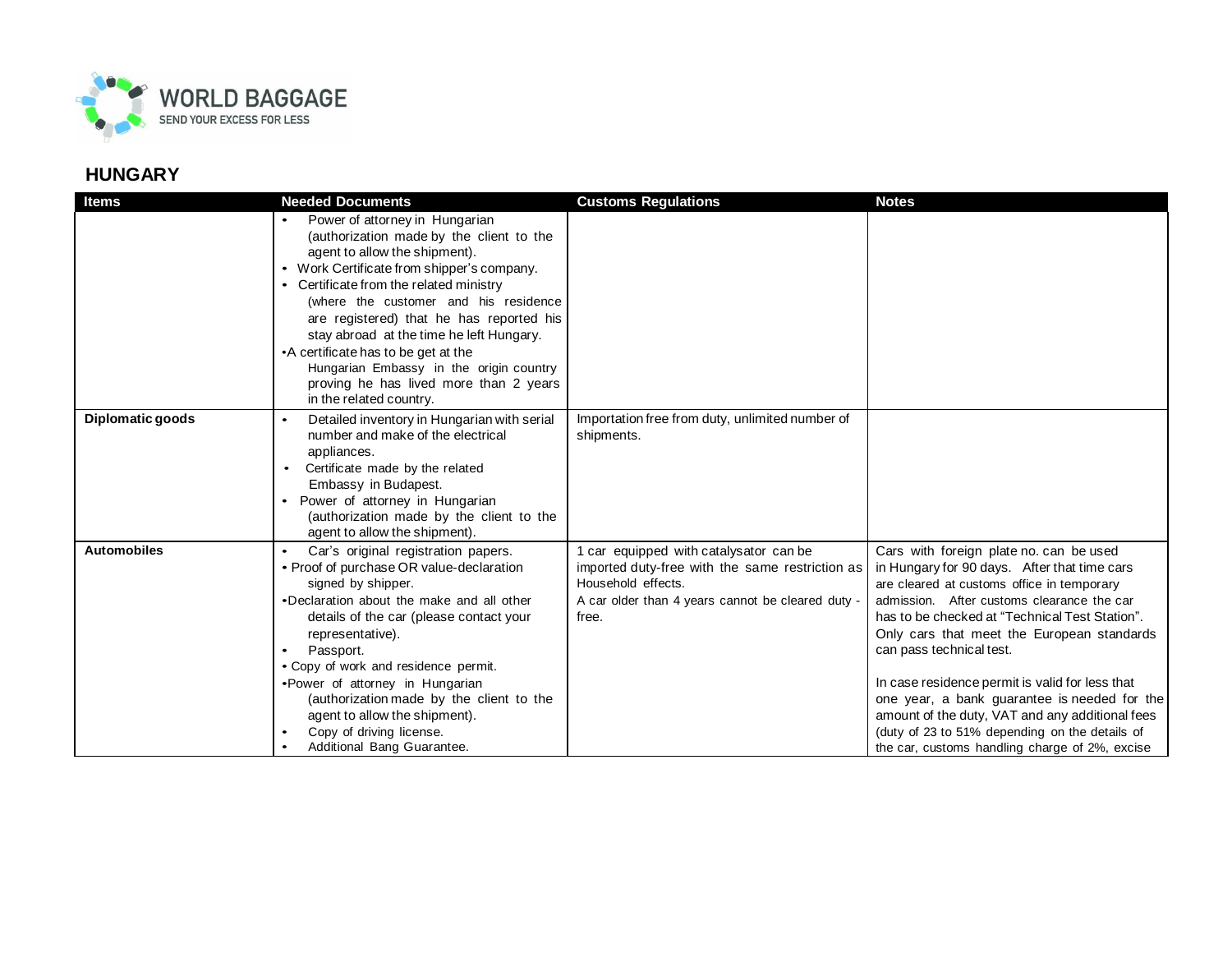

| <b>Items</b>       | <b>Needed Documents</b>                                                                                                                                                                                                                                                                                                                                                                                                                                                                      | <b>Customs Regulations</b>                                                                                                                                                    | <b>Notes</b>                                                                                                                                                                                                                                                                                                                                                                                                                                                                                                                                                              |
|--------------------|----------------------------------------------------------------------------------------------------------------------------------------------------------------------------------------------------------------------------------------------------------------------------------------------------------------------------------------------------------------------------------------------------------------------------------------------------------------------------------------------|-------------------------------------------------------------------------------------------------------------------------------------------------------------------------------|---------------------------------------------------------------------------------------------------------------------------------------------------------------------------------------------------------------------------------------------------------------------------------------------------------------------------------------------------------------------------------------------------------------------------------------------------------------------------------------------------------------------------------------------------------------------------|
|                    | Power of attorney in Hungarian<br>(authorization made by the client to the<br>agent to allow the shipment).<br>• Work Certificate from shipper's company.<br>• Certificate from the related ministry<br>(where the customer and his residence<br>are registered) that he has reported his<br>stay abroad at the time he left Hungary.<br>•A certificate has to be get at the<br>Hungarian Embassy in the origin country<br>proving he has lived more than 2 years<br>in the related country. |                                                                                                                                                                               |                                                                                                                                                                                                                                                                                                                                                                                                                                                                                                                                                                           |
| Diplomatic goods   | Detailed inventory in Hungarian with serial<br>$\bullet$<br>number and make of the electrical<br>appliances.<br>Certificate made by the related<br>Embassy in Budapest.<br>Power of attorney in Hungarian<br>(authorization made by the client to the<br>agent to allow the shipment).                                                                                                                                                                                                       | Importation free from duty, unlimited number of<br>shipments.                                                                                                                 |                                                                                                                                                                                                                                                                                                                                                                                                                                                                                                                                                                           |
| <b>Automobiles</b> | Car's original registration papers.<br>• Proof of purchase OR value-declaration<br>signed by shipper.<br>•Declaration about the make and all other<br>details of the car (please contact your<br>representative).<br>Passport.<br>• Copy of work and residence permit.<br>•Power of attorney in Hungarian<br>(authorization made by the client to the<br>agent to allow the shipment).<br>Copy of driving license.<br>Additional Bang Guarantee.                                             | 1 car equipped with catalysator can be<br>imported duty-free with the same restriction as<br>Household effects.<br>A car older than 4 years cannot be cleared duty -<br>free. | Cars with foreign plate no. can be used<br>in Hungary for 90 days. After that time cars<br>are cleared at customs office in temporary<br>admission. After customs clearance the car<br>has to be checked at "Technical Test Station".<br>Only cars that meet the European standards<br>can pass technical test.<br>In case residence permit is valid for less that<br>one year, a bank guarantee is needed for the<br>amount of the duty, VAT and any additional fees<br>(duty of 23 to 51% depending on the details of<br>the car, customs handling charge of 2%, excise |